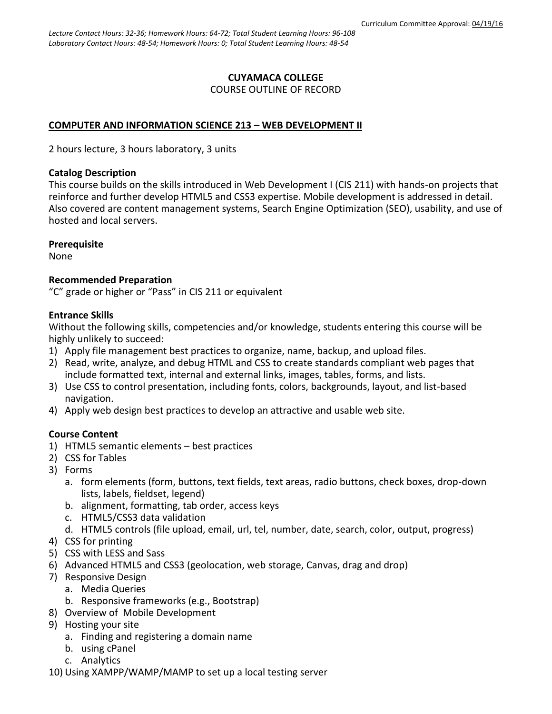#### **CUYAMACA COLLEGE** COURSE OUTLINE OF RECORD

### **COMPUTER AND INFORMATION SCIENCE 213 – WEB DEVELOPMENT II**

2 hours lecture, 3 hours laboratory, 3 units

#### **Catalog Description**

This course builds on the skills introduced in Web Development I (CIS 211) with hands-on projects that reinforce and further develop HTML5 and CSS3 expertise. Mobile development is addressed in detail. Also covered are content management systems, Search Engine Optimization (SEO), usability, and use of hosted and local servers.

#### **Prerequisite**

None

#### **Recommended Preparation**

"C" grade or higher or "Pass" in CIS 211 or equivalent

#### **Entrance Skills**

Without the following skills, competencies and/or knowledge, students entering this course will be highly unlikely to succeed:

- 1) Apply file management best practices to organize, name, backup, and upload files.
- 2) Read, write, analyze, and debug HTML and CSS to create standards compliant web pages that include formatted text, internal and external links, images, tables, forms, and lists.
- 3) Use CSS to control presentation, including fonts, colors, backgrounds, layout, and list-based navigation.
- 4) Apply web design best practices to develop an attractive and usable web site.

## **Course Content**

- 1) HTML5 semantic elements best practices
- 2) CSS for Tables
- 3) Forms
	- a. form elements (form, buttons, text fields, text areas, radio buttons, check boxes, drop-down lists, labels, fieldset, legend)
	- b. alignment, formatting, tab order, access keys
	- c. HTML5/CSS3 data validation
	- d. HTML5 controls (file upload, email, url, tel, number, date, search, color, output, progress)
- 4) CSS for printing
- 5) CSS with LESS and Sass
- 6) Advanced HTML5 and CSS3 (geolocation, web storage, Canvas, drag and drop)
- 7) Responsive Design
	- a. Media Queries
	- b. Responsive frameworks (e.g., Bootstrap)
- 8) Overview of Mobile Development
- 9) Hosting your site
	- a. Finding and registering a domain name
	- b. using cPanel
	- c. Analytics
- 10) Using XAMPP/WAMP/MAMP to set up a local testing server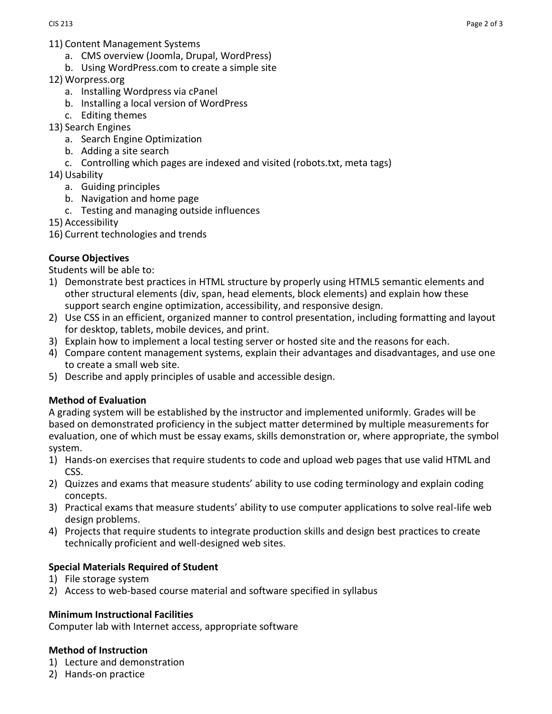- 11) Content Management Systems
	- a. CMS overview (Joomla, Drupal, WordPress)
	- b. Using WordPress.com to create a simple site
- 12) Worpress.org
	- a. Installing Wordpress via cPanel
	- b. Installing a local version of WordPress
	- c. Editing themes
- 13) Search Engines
	- a. Search Engine Optimization
	- b. Adding a site search
	- c. Controlling which pages are indexed and visited (robots.txt, meta tags)
- 14) Usability
	- a. Guiding principles
	- b. Navigation and home page
	- c. Testing and managing outside influences
- 15) Accessibility
- 16) Current technologies and trends

## **Course Objectives**

Students will be able to:

- 1) Demonstrate best practices in HTML structure by properly using HTML5 semantic elements and other structural elements (div, span, head elements, block elements) and explain how these support search engine optimization, accessibility, and responsive design.
- 2) Use CSS in an efficient, organized manner to control presentation, including formatting and layout for desktop, tablets, mobile devices, and print.
- 3) Explain how to implement a local testing server or hosted site and the reasons for each.
- 4) Compare content management systems, explain their advantages and disadvantages, and use one to create a small web site.
- 5) Describe and apply principles of usable and accessible design.

#### **Method of Evaluation**

A grading system will be established by the instructor and implemented uniformly. Grades will be based on demonstrated proficiency in the subject matter determined by multiple measurements for evaluation, one of which must be essay exams, skills demonstration or, where appropriate, the symbol system.

- 1) Hands-on exercises that require students to code and upload web pages that use valid HTML and CSS.
- 2) Quizzes and exams that measure students' ability to use coding terminology and explain coding concepts.
- 3) Practical exams that measure students' ability to use computer applications to solve real-life web design problems.
- 4) Projects that require students to integrate production skills and design best practices to create technically proficient and well-designed web sites.

## **Special Materials Required of Student**

- 1) File storage system
- 2) Access to web-based course material and software specified in syllabus

#### **Minimum Instructional Facilities**

Computer lab with Internet access, appropriate software

#### **Method of Instruction**

- 1) Lecture and demonstration
- 2) Hands-on practice